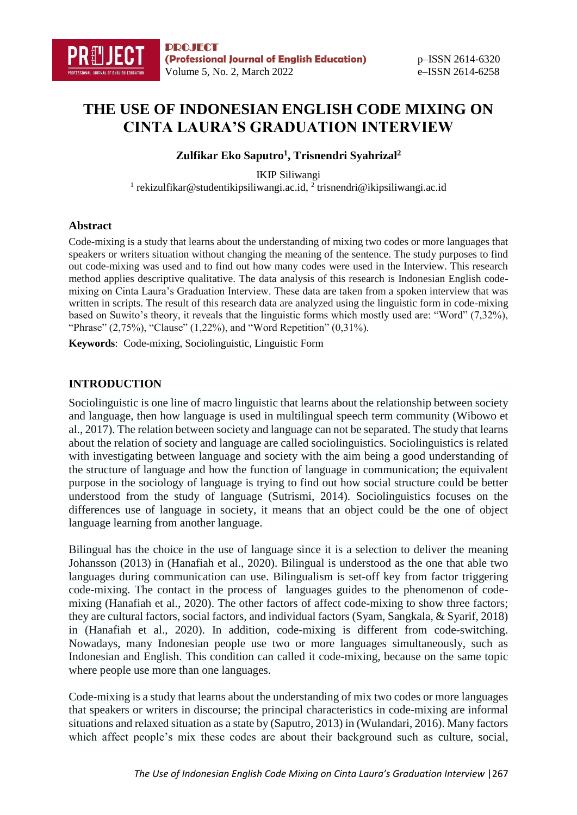# **THE USE OF INDONESIAN ENGLISH CODE MIXING ON CINTA LAURA'S GRADUATION INTERVIEW**

#### **Zulfikar Eko Saputro<sup>1</sup> , Trisnendri Syahrizal<sup>2</sup>**

IKIP Siliwangi <sup>1</sup> rekizulfikar@studentikipsiliwangi.ac.id, <sup>2</sup> trisnendri@ikipsiliwangi.ac.id

#### **Abstract**

Code-mixing is a study that learns about the understanding of mixing two codes or more languages that speakers or writers situation without changing the meaning of the sentence. The study purposes to find out code-mixing was used and to find out how many codes were used in the Interview. This research method applies descriptive qualitative. The data analysis of this research is Indonesian English codemixing on Cinta Laura's Graduation Interview. These data are taken from a spoken interview that was written in scripts. The result of this research data are analyzed using the linguistic form in code-mixing based on Suwito's theory, it reveals that the linguistic forms which mostly used are: "Word" (7,32%), "Phrase" (2,75%), "Clause" (1,22%), and "Word Repetition" (0,31%).

**Keywords**: Code-mixing, Sociolinguistic, Linguistic Form

# **INTRODUCTION**

Sociolinguistic is one line of macro linguistic that learns about the relationship between society and language, then how language is used in multilingual speech term community (Wibowo et al., 2017). The relation between society and language can not be separated. The study that learns about the relation of society and language are called sociolinguistics. Sociolinguistics is related with investigating between language and society with the aim being a good understanding of the structure of language and how the function of language in communication; the equivalent purpose in the sociology of language is trying to find out how social structure could be better understood from the study of language (Sutrismi, 2014). Sociolinguistics focuses on the differences use of language in society, it means that an object could be the one of object language learning from another language.

Bilingual has the choice in the use of language since it is a selection to deliver the meaning Johansson (2013) in (Hanafiah et al., 2020). Bilingual is understood as the one that able two languages during communication can use. Bilingualism is set-off key from factor triggering code-mixing. The contact in the process of languages guides to the phenomenon of codemixing (Hanafiah et al., 2020). The other factors of affect code-mixing to show three factors; they are cultural factors, social factors, and individual factors (Syam, Sangkala, & Syarif, 2018) in (Hanafiah et al., 2020). In addition, code-mixing is different from code-switching. Nowadays, many Indonesian people use two or more languages simultaneously, such as Indonesian and English. This condition can called it code-mixing, because on the same topic where people use more than one languages.

Code-mixing is a study that learns about the understanding of mix two codes or more languages that speakers or writers in discourse; the principal characteristics in code-mixing are informal situations and relaxed situation as a state by (Saputro, 2013) in (Wulandari, 2016). Many factors which affect people's mix these codes are about their background such as culture, social,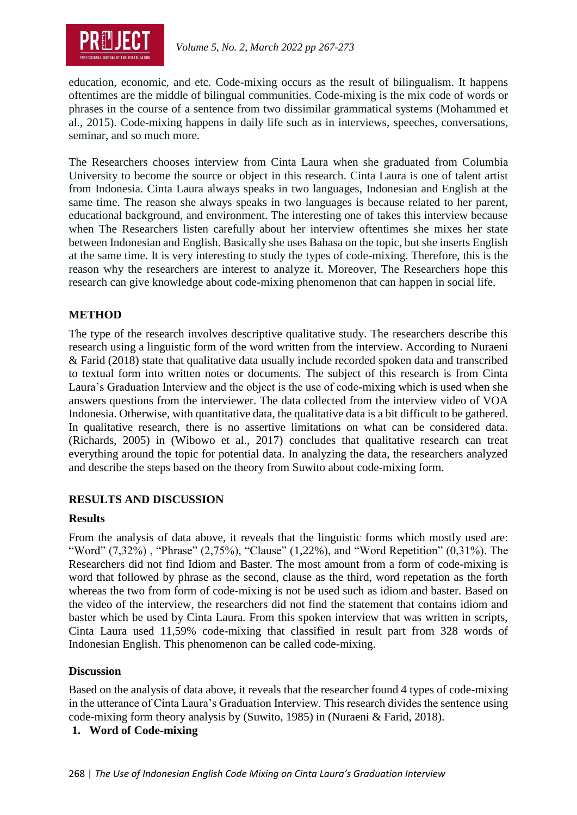

education, economic, and etc. Code-mixing occurs as the result of bilingualism. It happens oftentimes are the middle of bilingual communities. Code-mixing is the mix code of words or phrases in the course of a sentence from two dissimilar grammatical systems (Mohammed et al., 2015). Code-mixing happens in daily life such as in interviews, speeches, conversations, seminar, and so much more.

The Researchers chooses interview from Cinta Laura when she graduated from Columbia University to become the source or object in this research. Cinta Laura is one of talent artist from Indonesia. Cinta Laura always speaks in two languages, Indonesian and English at the same time. The reason she always speaks in two languages is because related to her parent, educational background, and environment. The interesting one of takes this interview because when The Researchers listen carefully about her interview oftentimes she mixes her state between Indonesian and English. Basically she uses Bahasa on the topic, but she inserts English at the same time. It is very interesting to study the types of code-mixing. Therefore, this is the reason why the researchers are interest to analyze it. Moreover, The Researchers hope this research can give knowledge about code-mixing phenomenon that can happen in social life.

#### **METHOD**

The type of the research involves descriptive qualitative study. The researchers describe this research using a linguistic form of the word written from the interview. According to Nuraeni & Farid (2018) state that qualitative data usually include recorded spoken data and transcribed to textual form into written notes or documents. The subject of this research is from Cinta Laura's Graduation Interview and the object is the use of code-mixing which is used when she answers questions from the interviewer. The data collected from the interview video of VOA Indonesia. Otherwise, with quantitative data, the qualitative data is a bit difficult to be gathered. In qualitative research, there is no assertive limitations on what can be considered data. (Richards, 2005) in (Wibowo et al., 2017) concludes that qualitative research can treat everything around the topic for potential data. In analyzing the data, the researchers analyzed and describe the steps based on the theory from Suwito about code-mixing form.

# **RESULTS AND DISCUSSION**

# **Results**

From the analysis of data above, it reveals that the linguistic forms which mostly used are: "Word" (7,32%), "Phrase" (2,75%), "Clause" (1,22%), and "Word Repetition" (0,31%). The Researchers did not find Idiom and Baster. The most amount from a form of code-mixing is word that followed by phrase as the second, clause as the third, word repetation as the forth whereas the two from form of code-mixing is not be used such as idiom and baster. Based on the video of the interview, the researchers did not find the statement that contains idiom and baster which be used by Cinta Laura. From this spoken interview that was written in scripts, Cinta Laura used 11,59% code-mixing that classified in result part from 328 words of Indonesian English. This phenomenon can be called code-mixing.

# **Discussion**

Based on the analysis of data above, it reveals that the researcher found 4 types of code-mixing in the utterance of Cinta Laura's Graduation Interview. This research divides the sentence using code-mixing form theory analysis by (Suwito, 1985) in (Nuraeni & Farid, 2018).

# **1. Word of Code-mixing**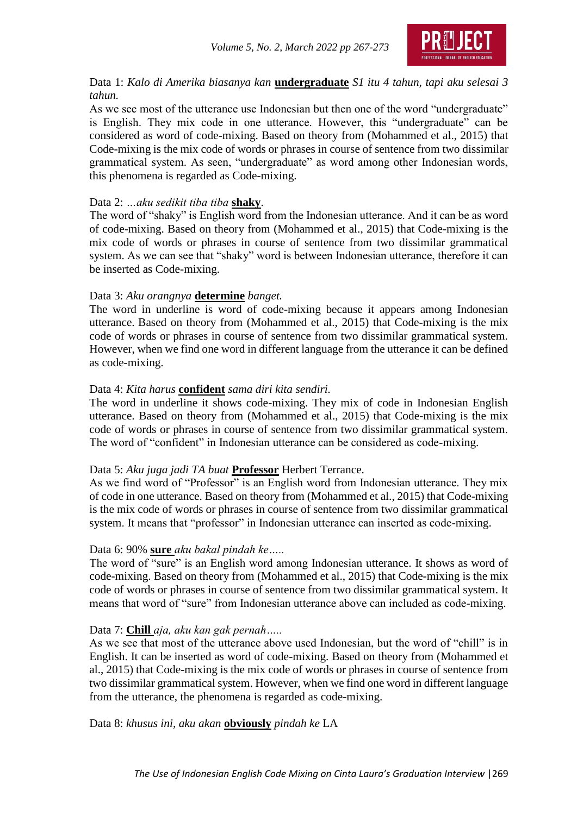

Data 1: *Kalo di Amerika biasanya kan* **undergraduate** *S1 itu 4 tahun, tapi aku selesai 3 tahun.*

As we see most of the utterance use Indonesian but then one of the word "undergraduate" is English. They mix code in one utterance. However, this "undergraduate" can be considered as word of code-mixing. Based on theory from (Mohammed et al., 2015) that Code-mixing is the mix code of words or phrases in course of sentence from two dissimilar grammatical system. As seen, "undergraduate" as word among other Indonesian words, this phenomena is regarded as Code-mixing.

#### Data 2: *…aku sedikit tiba tiba* **shaky**.

The word of "shaky" is English word from the Indonesian utterance. And it can be as word of code-mixing. Based on theory from (Mohammed et al., 2015) that Code-mixing is the mix code of words or phrases in course of sentence from two dissimilar grammatical system. As we can see that "shaky" word is between Indonesian utterance, therefore it can be inserted as Code-mixing.

#### Data 3: *Aku orangnya* **determine** *banget.*

The word in underline is word of code-mixing because it appears among Indonesian utterance. Based on theory from (Mohammed et al., 2015) that Code-mixing is the mix code of words or phrases in course of sentence from two dissimilar grammatical system. However, when we find one word in different language from the utterance it can be defined as code-mixing.

#### Data 4: *Kita harus* **confident** *sama diri kita sendiri.*

The word in underline it shows code-mixing. They mix of code in Indonesian English utterance. Based on theory from (Mohammed et al., 2015) that Code-mixing is the mix code of words or phrases in course of sentence from two dissimilar grammatical system. The word of "confident" in Indonesian utterance can be considered as code-mixing.

#### Data 5: *Aku juga jadi TA buat* **Professor** Herbert Terrance.

As we find word of "Professor" is an English word from Indonesian utterance. They mix of code in one utterance. Based on theory from (Mohammed et al., 2015) that Code-mixing is the mix code of words or phrases in course of sentence from two dissimilar grammatical system. It means that "professor" in Indonesian utterance can inserted as code-mixing.

#### Data 6: 90% **sure** *aku bakal pindah ke…..*

The word of "sure" is an English word among Indonesian utterance. It shows as word of code-mixing. Based on theory from (Mohammed et al., 2015) that Code-mixing is the mix code of words or phrases in course of sentence from two dissimilar grammatical system. It means that word of "sure" from Indonesian utterance above can included as code-mixing.

#### Data 7: **Chill** *aja, aku kan gak pernah…..*

As we see that most of the utterance above used Indonesian, but the word of "chill" is in English. It can be inserted as word of code-mixing. Based on theory from (Mohammed et al., 2015) that Code-mixing is the mix code of words or phrases in course of sentence from two dissimilar grammatical system. However, when we find one word in different language from the utterance, the phenomena is regarded as code-mixing.

Data 8: *khusus ini, aku akan* **obviously** *pindah ke* LA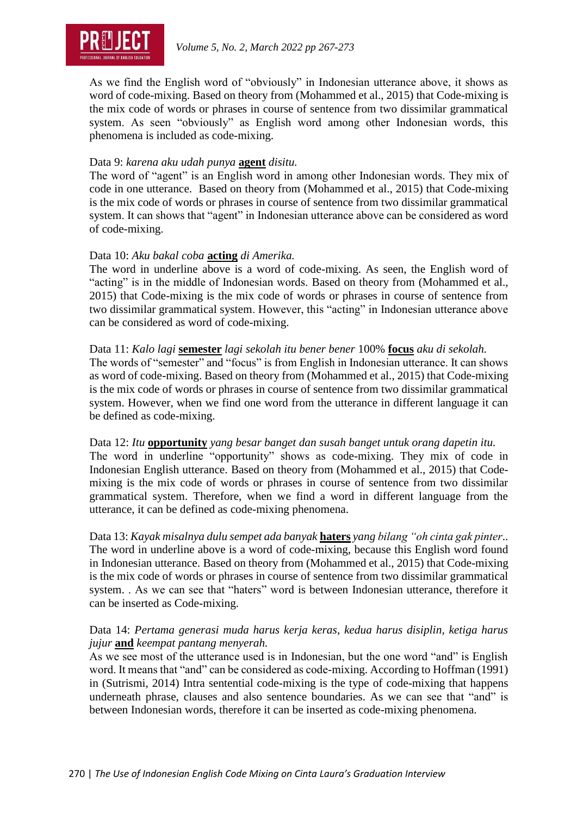

As we find the English word of "obviously" in Indonesian utterance above, it shows as word of code-mixing. Based on theory from (Mohammed et al., 2015) that Code-mixing is the mix code of words or phrases in course of sentence from two dissimilar grammatical system. As seen "obviously" as English word among other Indonesian words, this phenomena is included as code-mixing.

#### Data 9: *karena aku udah punya* **agent** *disitu.*

The word of "agent" is an English word in among other Indonesian words. They mix of code in one utterance. Based on theory from (Mohammed et al., 2015) that Code-mixing is the mix code of words or phrases in course of sentence from two dissimilar grammatical system. It can shows that "agent" in Indonesian utterance above can be considered as word of code-mixing.

#### Data 10: *Aku bakal coba* **acting** *di Amerika.*

The word in underline above is a word of code-mixing. As seen, the English word of "acting" is in the middle of Indonesian words. Based on theory from (Mohammed et al., 2015) that Code-mixing is the mix code of words or phrases in course of sentence from two dissimilar grammatical system. However, this "acting" in Indonesian utterance above can be considered as word of code-mixing.

#### Data 11: *Kalo lagi* **semester** *lagi sekolah itu bener bener* 100% **focus** *aku di sekolah.*

The words of "semester" and "focus" is from English in Indonesian utterance. It can shows as word of code-mixing. Based on theory from (Mohammed et al., 2015) that Code-mixing is the mix code of words or phrases in course of sentence from two dissimilar grammatical system. However, when we find one word from the utterance in different language it can be defined as code-mixing.

# Data 12: *Itu* **opportunity** *yang besar banget dan susah banget untuk orang dapetin itu.*

The word in underline "opportunity" shows as code-mixing. They mix of code in Indonesian English utterance. Based on theory from (Mohammed et al., 2015) that Codemixing is the mix code of words or phrases in course of sentence from two dissimilar grammatical system. Therefore, when we find a word in different language from the utterance, it can be defined as code-mixing phenomena.

Data 13: *Kayak misalnya dulu sempet ada banyak* **haters** *yang bilang "oh cinta gak pinter*.. The word in underline above is a word of code-mixing, because this English word found in Indonesian utterance. Based on theory from (Mohammed et al., 2015) that Code-mixing is the mix code of words or phrases in course of sentence from two dissimilar grammatical system. . As we can see that "haters" word is between Indonesian utterance, therefore it can be inserted as Code-mixing.

# Data 14: *Pertama generasi muda harus kerja keras, kedua harus disiplin, ketiga harus jujur* **and** *keempat pantang menyerah.*

As we see most of the utterance used is in Indonesian, but the one word "and" is English word. It means that "and" can be considered as code-mixing. According to Hoffman (1991) in (Sutrismi, 2014) Intra sentential code-mixing is the type of code-mixing that happens underneath phrase, clauses and also sentence boundaries. As we can see that "and" is between Indonesian words, therefore it can be inserted as code-mixing phenomena.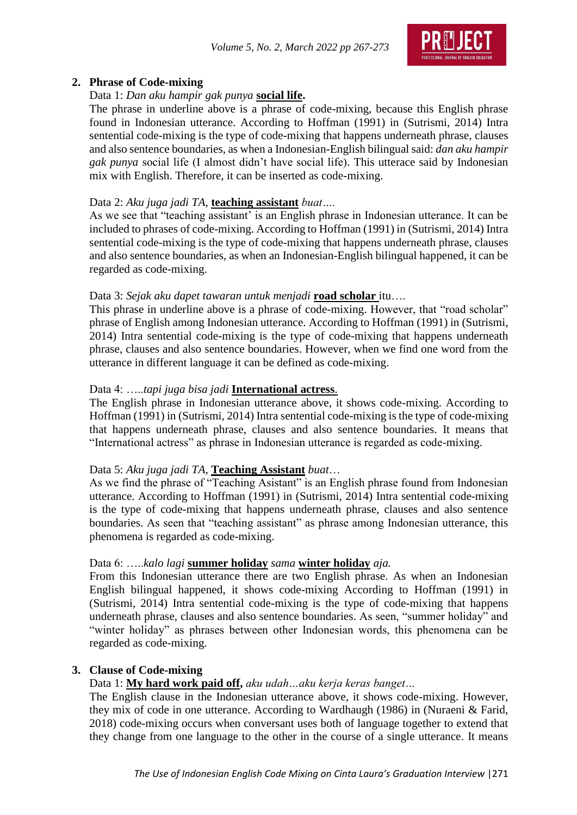

# **2. Phrase of Code-mixing**

# Data 1: *Dan aku hampir gak punya* **social life.**

The phrase in underline above is a phrase of code-mixing, because this English phrase found in Indonesian utterance. According to Hoffman (1991) in (Sutrismi, 2014) Intra sentential code-mixing is the type of code-mixing that happens underneath phrase, clauses and also sentence boundaries, as when a Indonesian-English bilingual said: *dan aku hampir gak punya* social life (I almost didn't have social life). This utterace said by Indonesian mix with English. Therefore, it can be inserted as code-mixing.

# Data 2: *Aku juga jadi TA*, **teaching assistant** *buat….*

As we see that "teaching assistant' is an English phrase in Indonesian utterance. It can be included to phrases of code-mixing. According to Hoffman (1991) in (Sutrismi, 2014) Intra sentential code-mixing is the type of code-mixing that happens underneath phrase, clauses and also sentence boundaries, as when an Indonesian-English bilingual happened, it can be regarded as code-mixing.

# Data 3: *Sejak aku dapet tawaran untuk menjadi* **road scholar** itu….

This phrase in underline above is a phrase of code-mixing. However, that "road scholar" phrase of English among Indonesian utterance. According to Hoffman (1991) in (Sutrismi, 2014) Intra sentential code-mixing is the type of code-mixing that happens underneath phrase, clauses and also sentence boundaries. However, when we find one word from the utterance in different language it can be defined as code-mixing.

# Data 4: …..*tapi juga bisa jadi* **International actress**.

The English phrase in Indonesian utterance above, it shows code-mixing. According to Hoffman (1991) in (Sutrismi, 2014) Intra sentential code-mixing is the type of code-mixing that happens underneath phrase, clauses and also sentence boundaries. It means that "International actress" as phrase in Indonesian utterance is regarded as code-mixing.

# Data 5: *Aku juga jadi TA,* **Teaching Assistant** *buat*…

As we find the phrase of "Teaching Asistant" is an English phrase found from Indonesian utterance. According to Hoffman (1991) in (Sutrismi, 2014) Intra sentential code-mixing is the type of code-mixing that happens underneath phrase, clauses and also sentence boundaries. As seen that "teaching assistant" as phrase among Indonesian utterance, this phenomena is regarded as code-mixing.

# Data 6: …..*kalo lagi* **summer holiday** *sama* **winter holiday** *aja.*

From this Indonesian utterance there are two English phrase. As when an Indonesian English bilingual happened, it shows code-mixing According to Hoffman (1991) in (Sutrismi, 2014) Intra sentential code-mixing is the type of code-mixing that happens underneath phrase, clauses and also sentence boundaries. As seen, "summer holiday" and "winter holiday" as phrases between other Indonesian words, this phenomena can be regarded as code-mixing.

# **3. Clause of Code-mixing**

# Data 1: **My hard work paid off,** *aku udah…aku kerja keras banget…*

The English clause in the Indonesian utterance above, it shows code-mixing. However, they mix of code in one utterance. According to Wardhaugh (1986) in (Nuraeni & Farid, 2018) code-mixing occurs when conversant uses both of language together to extend that they change from one language to the other in the course of a single utterance. It means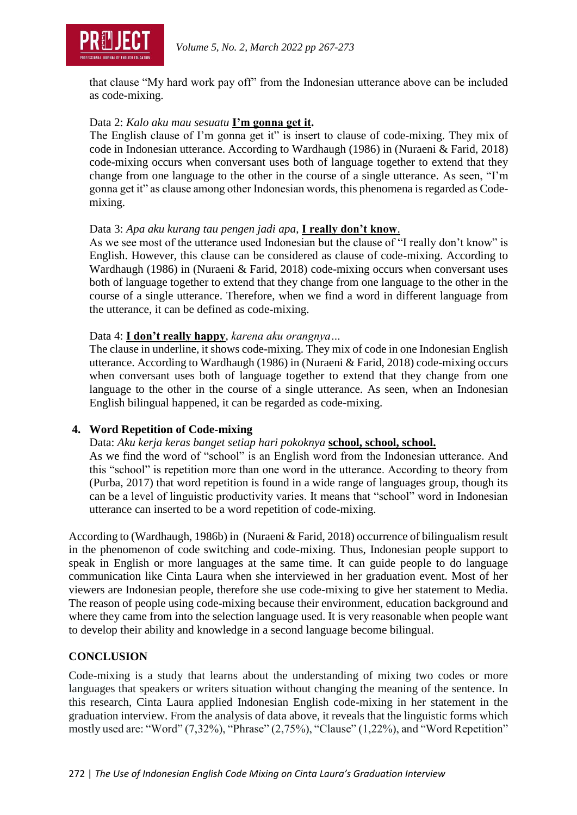

that clause "My hard work pay off" from the Indonesian utterance above can be included as code-mixing.

# Data 2: *Kalo aku mau sesuatu* **I'm gonna get it.**

The English clause of I'm gonna get it" is insert to clause of code-mixing. They mix of code in Indonesian utterance. According to Wardhaugh (1986) in (Nuraeni & Farid, 2018) code-mixing occurs when conversant uses both of language together to extend that they change from one language to the other in the course of a single utterance. As seen, "I'm gonna get it" as clause among other Indonesian words, this phenomena is regarded as Codemixing.

#### Data 3: *Apa aku kurang tau pengen jadi apa*, **I really don't know**.

As we see most of the utterance used Indonesian but the clause of "I really don't know" is English. However, this clause can be considered as clause of code-mixing. According to Wardhaugh (1986) in (Nuraeni & Farid, 2018) code-mixing occurs when conversant uses both of language together to extend that they change from one language to the other in the course of a single utterance. Therefore, when we find a word in different language from the utterance, it can be defined as code-mixing.

#### Data 4: **I don't really happy**, *karena aku orangnya…*

The clause in underline, it shows code-mixing. They mix of code in one Indonesian English utterance. According to Wardhaugh (1986) in (Nuraeni & Farid, 2018) code-mixing occurs when conversant uses both of language together to extend that they change from one language to the other in the course of a single utterance. As seen, when an Indonesian English bilingual happened, it can be regarded as code-mixing.

# **4. Word Repetition of Code-mixing**

Data: *Aku kerja keras banget setiap hari pokoknya* **school, school, school.**

As we find the word of "school" is an English word from the Indonesian utterance. And this "school" is repetition more than one word in the utterance. According to theory from (Purba, 2017) that word repetition is found in a wide range of languages group, though its can be a level of linguistic productivity varies. It means that "school" word in Indonesian utterance can inserted to be a word repetition of code-mixing.

According to (Wardhaugh, 1986b) in (Nuraeni & Farid, 2018) occurrence of bilingualism result in the phenomenon of code switching and code-mixing. Thus, Indonesian people support to speak in English or more languages at the same time. It can guide people to do language communication like Cinta Laura when she interviewed in her graduation event. Most of her viewers are Indonesian people, therefore she use code-mixing to give her statement to Media. The reason of people using code-mixing because their environment, education background and where they came from into the selection language used. It is very reasonable when people want to develop their ability and knowledge in a second language become bilingual.

# **CONCLUSION**

Code-mixing is a study that learns about the understanding of mixing two codes or more languages that speakers or writers situation without changing the meaning of the sentence. In this research, Cinta Laura applied Indonesian English code-mixing in her statement in the graduation interview. From the analysis of data above, it reveals that the linguistic forms which mostly used are: "Word" (7,32%), "Phrase" (2,75%), "Clause" (1,22%), and "Word Repetition"